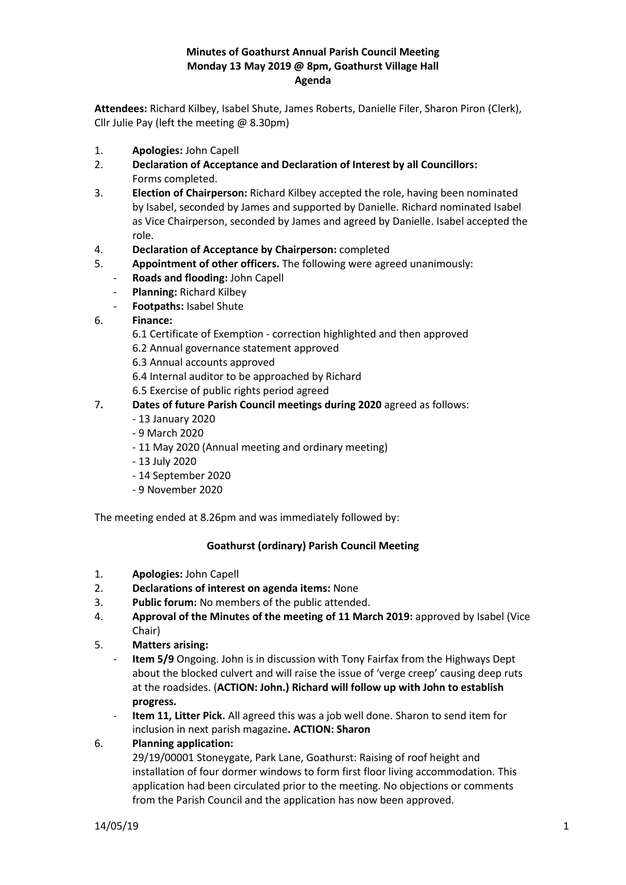### **Minutes of Goathurst Annual Parish Council Meeting Monday 13 May 2019 @ 8pm, Goathurst Village Hall Agenda**

**Attendees:** Richard Kilbey, Isabel Shute, James Roberts, Danielle Filer, Sharon Piron (Clerk), Cllr Julie Pay (left the meeting  $@$  8.30pm)

- 1. **Apologies:** John Capell
- 2. **Declaration of Acceptance and Declaration of Interest by all Councillors:** Forms completed.
- 3. **Election of Chairperson:** Richard Kilbey accepted the role, having been nominated by Isabel, seconded by James and supported by Danielle. Richard nominated Isabel as Vice Chairperson, seconded by James and agreed by Danielle. Isabel accepted the role.
- 4. **Declaration of Acceptance by Chairperson:** completed
- 5. **Appointment of other officers.** The following were agreed unanimously:
	- **Roads and flooding:** John Capell
	- **Planning:** Richard Kilbey
	- **Footpaths:** Isabel Shute
- 6. **Finance:**
	- 6.1 Certificate of Exemption correction highlighted and then approved
	- 6.2 Annual governance statement approved
	- 6.3 Annual accounts approved
	- 6.4 Internal auditor to be approached by Richard
	- 6.5 Exercise of public rights period agreed

## 7**. Dates of future Parish Council meetings during 2020** agreed as follows:

- 13 January 2020
- 9 March 2020
- 11 May 2020 (Annual meeting and ordinary meeting)
- 13 July 2020
- 14 September 2020
- 9 November 2020

The meeting ended at 8.26pm and was immediately followed by:

#### **Goathurst (ordinary) Parish Council Meeting**

- 1. **Apologies:** John Capell
- 2. **Declarations of interest on agenda items:** None
- 3. **Public forum:** No members of the public attended.
- 4. **Approval of the Minutes of the meeting of 11 March 2019:** approved by Isabel (Vice Chair)
- 5. **Matters arising:**
	- **Item 5/9** Ongoing. John is in discussion with Tony Fairfax from the Highways Dept about the blocked culvert and will raise the issue of 'verge creep' causing deep ruts at the roadsides. (**ACTION: John.) Richard will follow up with John to establish progress.**
	- **Item 11, Litter Pick.** All agreed this was a job well done. Sharon to send item for inclusion in next parish magazine**. ACTION: Sharon**

## 6. **Planning application:**

29/19/00001 Stoneygate, Park Lane, Goathurst: Raising of roof height and installation of four dormer windows to form first floor living accommodation. This application had been circulated prior to the meeting. No objections or comments from the Parish Council and the application has now been approved.